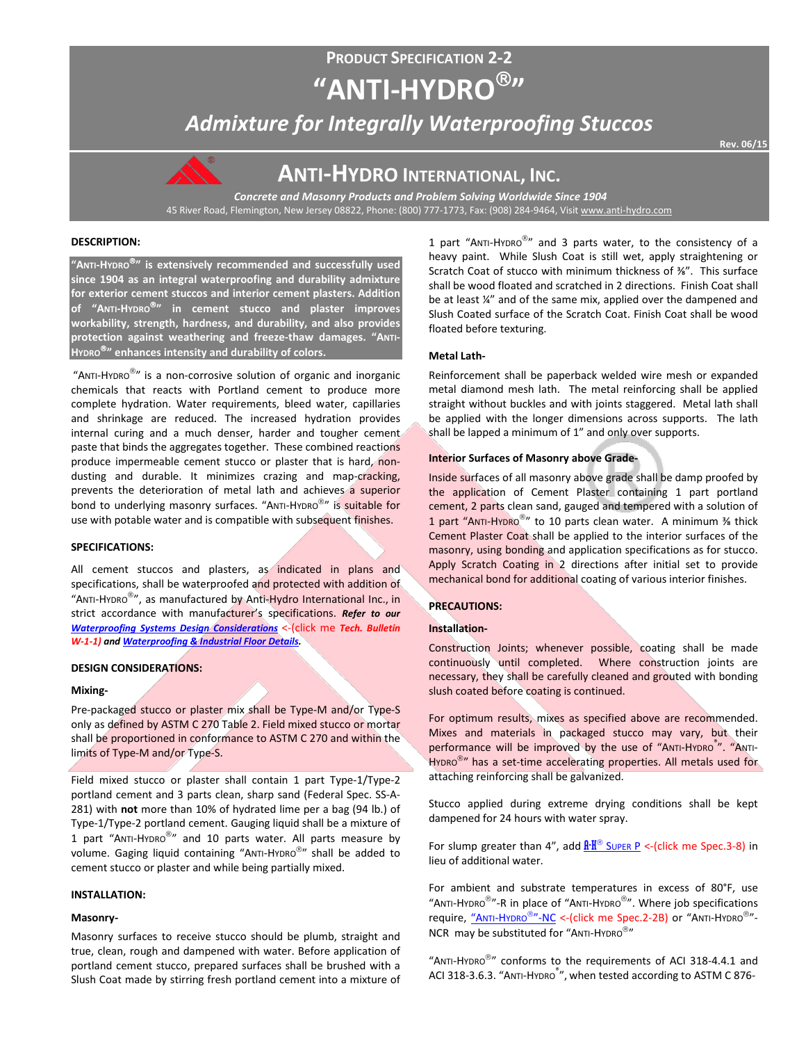# **PRODUCT SPECIFICATION 2-2 "ANTI-HYDRO"**

*Admixture for Integrally Waterproofing Stuccos*

**Rev. 06/15** 



# **ANTI-HYDRO INTERNATIONAL, INC.**

*Concrete and Masonry Products and Problem Solving Worldwide Since 1904* 45 River Road, Flemington, New Jersey 08822, Phone: (800) 777-1773, Fax: (908) 284-9464, Visi[t www.anti-hydro.com](http://www.anti-hydro.com/)

## **DESCRIPTION:**

**"ANTI-HYDRO" is extensively recommended and successfully used since 1904 as an integral waterproofing and durability admixture for exterior cement stuccos and interior cement plasters. Addition of "ANTI-HYDRO" in cement stucco and plaster improves workability, strength, hardness, and durability, and also provides protection against weathering and freeze-thaw damages. "ANTI-HYDRO" enhances intensity and durability of colors.**

"ANTI-HYDRO $^{\circledR}$ " is a non-corrosive solution of organic and inorganic chemicals that reacts with Portland cement to produce more complete hydration. Water requirements, bleed water, capillaries and shrinkage are reduced. The increased hydration provides internal curing and a much denser, harder and tougher cement paste that binds the aggregates together. These combined reactions produce impermeable cement stucco or plaster that is hard, nondusting and durable. It minimizes crazing and map-cracking, prevents the deterioration of metal lath and achieves a superior bond to underlying masonry surfaces. "ANTI-HYDRO®" is suitable for use with potable water and is compatible with subsequent finishes.

## **SPECIFICATIONS:**

All cement stuccos and plasters, as indicated in plans and specifications, shall be waterproofed and protected with addition of "ANTI-HYDRO<sup>®</sup>", as manufactured by Anti-Hydro International Inc., in strict accordance with manufacturer's specifications. *Refer to our [Waterproofing Systems Design Considerations](http://ahi.pcmacnerds.biz/developed/pdf-display-all.php?name=TB-W-1-1.pdf&path=resources/downloads/tech-bulletins/)* <-(click me *Tech. Bulletin W-1-1) an[d Waterproofing & Industrial Floor Details.](http://ahi.pcmacnerds.biz/developed/pdf-display-all.php?name=TB-W-1-1.pdf&path=resources/downloads/tech-bulletins/)*

## **DESIGN CONSIDERATIONS:**

## **Mixing-**

Pre-packaged stucco or plaster mix shall be Type-M and/or Type-S only as defined by ASTM C 270 Table 2. Field mixed stucco or mortar shall be proportioned in conformance to ASTM C 270 and within the limits of Type-M and/or Type-S.

Field mixed stucco or plaster shall contain 1 part Type-1/Type-2 portland cement and 3 parts clean, sharp sand (Federal Spec. SS-A-281) with **not** more than 10% of hydrated lime per a bag (94 lb.) of Type-1/Type-2 portland cement. Gauging liquid shall be a mixture of 1 part "ANTI-HYDRO<sup>®</sup>" and 10 parts water. All parts measure by volume. Gaging liquid containing "ANTI-HYDRO®" shall be added to cement stucco or plaster and while being partially mixed.

## **INSTALLATION:**

## **Masonry-**

Masonry surfaces to receive stucco should be plumb, straight and true, clean, rough and dampened with water. Before application of portland cement stucco, prepared surfaces shall be brushed with a Slush Coat made by stirring fresh portland cement into a mixture of 1 part "ANTI-HYDRO<sup>®</sup>" and 3 parts water, to the consistency of a heavy paint. While Slush Coat is still wet, apply straightening or Scratch Coat of stucco with minimum thickness of ⅜". This surface shall be wood floated and scratched in 2 directions. Finish Coat shall be at least ¼" and of the same mix, applied over the dampened and Slush Coated surface of the Scratch Coat. Finish Coat shall be wood floated before texturing.

## **Metal Lath-**

Reinforcement shall be paperback welded wire mesh or expanded metal diamond mesh lath. The metal reinforcing shall be applied straight without buckles and with joints staggered. Metal lath shall be applied with the longer dimensions across supports. The lath shall be lapped a minimum of 1" and only over supports.

## **Interior Surfaces of Masonry above Grade-**

Inside surfaces of all masonry above grade shall be damp proofed by the application of Cement Plaster containing 1 part portland cement, 2 parts clean sand, gauged and tempered with a solution of 1 part "ANTI-HYDRO<sup>®</sup>" to 10 parts clean water. A minimum <sup>3</sup>% thick Cement Plaster Coat shall be applied to the interior surfaces of the masonry, using bonding and application specifications as for stucco. Apply Scratch Coating in 2 directions after initial set to provide mechanical bond for additional coating of various interior finishes.

## **PRECAUTIONS:**

## **Installation-**

Construction Joints; whenever possible, coating shall be made continuously until completed. Where construction joints are necessary, they shall be carefully cleaned and grouted with bonding slush coated before coating is continued.

For optimum results, mixes as specified above are recommended. Mixes and materials in packaged stucco may vary, but their performance will be improved by the use of "ANTI-HYDRO<sup>®</sup>". "ANTI-HYDRO<sup>®</sup>" has a set-time accelerating properties. All metals used for attaching reinforcing shall be galvanized.

Stucco applied during extreme drying conditions shall be kept dampened for 24 hours with water spray.

For slump greater than 4", add  $\frac{R \cdot H^{\circledcirc}}{2}$  [SUPER P](http://ahi.pcmacnerds.biz/developed/pdf-display-all.php?name=spec_3-8.pdf&path=resources/downloads/product_specifications/) <- (click me Spec.3-8) in lieu of additional water.

For ambient and substrate temperatures in excess of 80°F, use "ANTI-HYDRO<sup>®</sup>"-R in place of "ANTI-HYDRO®". Where job specifications require, ["ANTI-HYDRO](http://ahi.pcmacnerds.biz/developed/pdf-display-all.php?name=spec_2-2B.pdf&path=resources/downloads/product_specifications/)<sup>®</sup>"-NC <- (click me Spec. 2-2B) or "ANTI-HYDRO<sup>®</sup>"-NCR may be substituted for "ANTI-HYDRO®"

"ANTI-HYDRO $^{\circledR}$ " conforms to the requirements of ACI 318-4.4.1 and ACI 318-3.6.3. "ANTI-HYDRO<sup>®</sup>", when tested according to ASTM C 876-